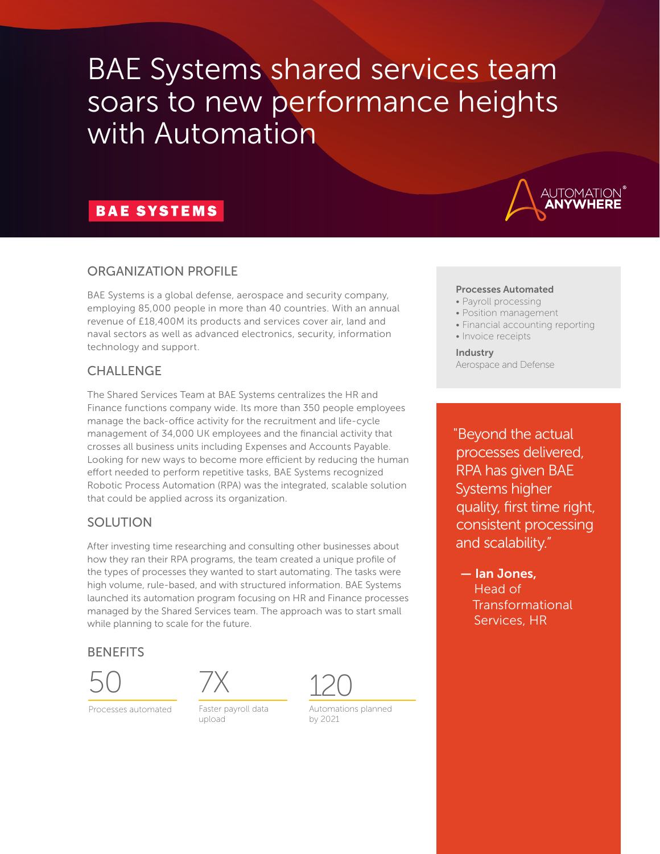# BAE Systems shared services team soars to new performance heights with Automation

## **BAE SYSTEMS**



## ORGANIZATION PROFILE

BAE Systems is a global defense, aerospace and security company, employing 85,000 people in more than 40 countries. With an annual revenue of £18,400M its products and services cover air, land and naval sectors as well as advanced electronics, security, information technology and support.

#### CHALLENGE

The Shared Services Team at BAE Systems centralizes the HR and Finance functions company wide. Its more than 350 people employees manage the back-office activity for the recruitment and life-cycle management of 34,000 UK employees and the financial activity that crosses all business units including Expenses and Accounts Payable. Looking for new ways to become more efficient by reducing the human effort needed to perform repetitive tasks, BAE Systems recognized Robotic Process Automation (RPA) was the integrated, scalable solution that could be applied across its organization.

## SOLUTION

After investing time researching and consulting other businesses about how they ran their RPA programs, the team created a unique profile of the types of processes they wanted to start automating. The tasks were high volume, rule-based, and with structured information. BAE Systems launched its automation program focusing on HR and Finance processes managed by the Shared Services team. The approach was to start small while planning to scale for the future.

#### **BENEFITS**



Processes automated



Faster payroll data upload



Automations planned by 2021

#### Processes Automated

- Payroll processing
- Position management
- Financial accounting reporting
- Invoice receipts

Industry Aerospace and Defense

"Beyond the actual processes delivered, RPA has given BAE Systems higher quality, first time right, consistent processing and scalability."

 — Ian Jones, Head of Transformational Services, HR